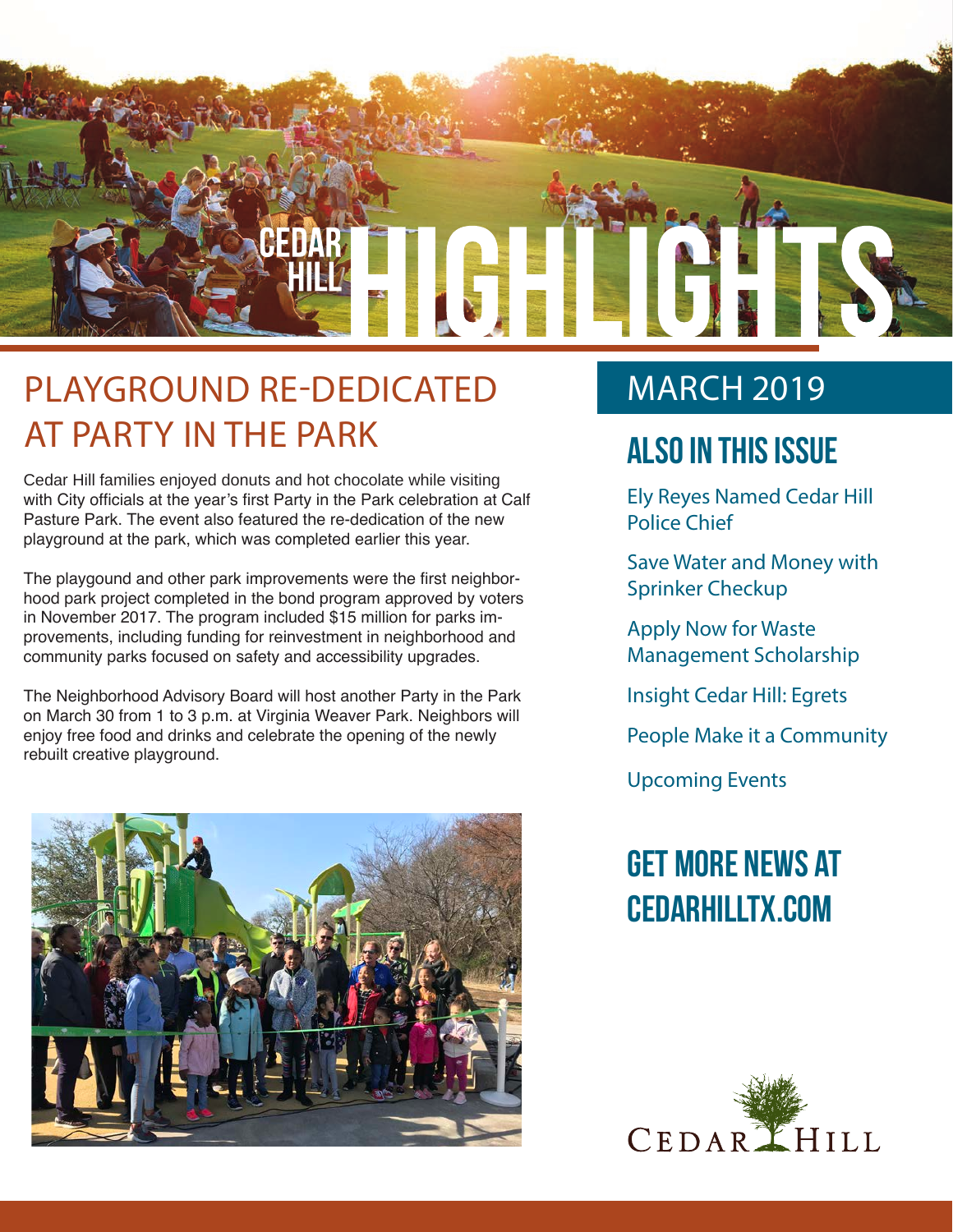

### PLAYGROUND RE-DEDICATED AT PARTY IN THE PARK

Cedar Hill families enjoyed donuts and hot chocolate while visiting with City officials at the year's first Party in the Park celebration at Calf Pasture Park. The event also featured the re-dedication of the new playground at the park, which was completed earlier this year.

The playgound and other park improvements were the first neighborhood park project completed in the bond program approved by voters in November 2017. The program included \$15 million for parks improvements, including funding for reinvestment in neighborhood and community parks focused on safety and accessibility upgrades.

The Neighborhood Advisory Board will host another Party in the Park on March 30 from 1 to 3 p.m. at Virginia Weaver Park. Neighbors will enjoy free food and drinks and celebrate the opening of the newly rebuilt creative playground.



### **MARCH 2019**

### **Also In this Issue**

Ely Reyes Named Cedar Hill Police Chief

Save Water and Money with Sprinker Checkup

Apply Now for Waste Management Scholarship

Insight Cedar Hill: Egrets

People Make it a Community

Upcoming Events

### **Get more news at cedarhilltx.com**

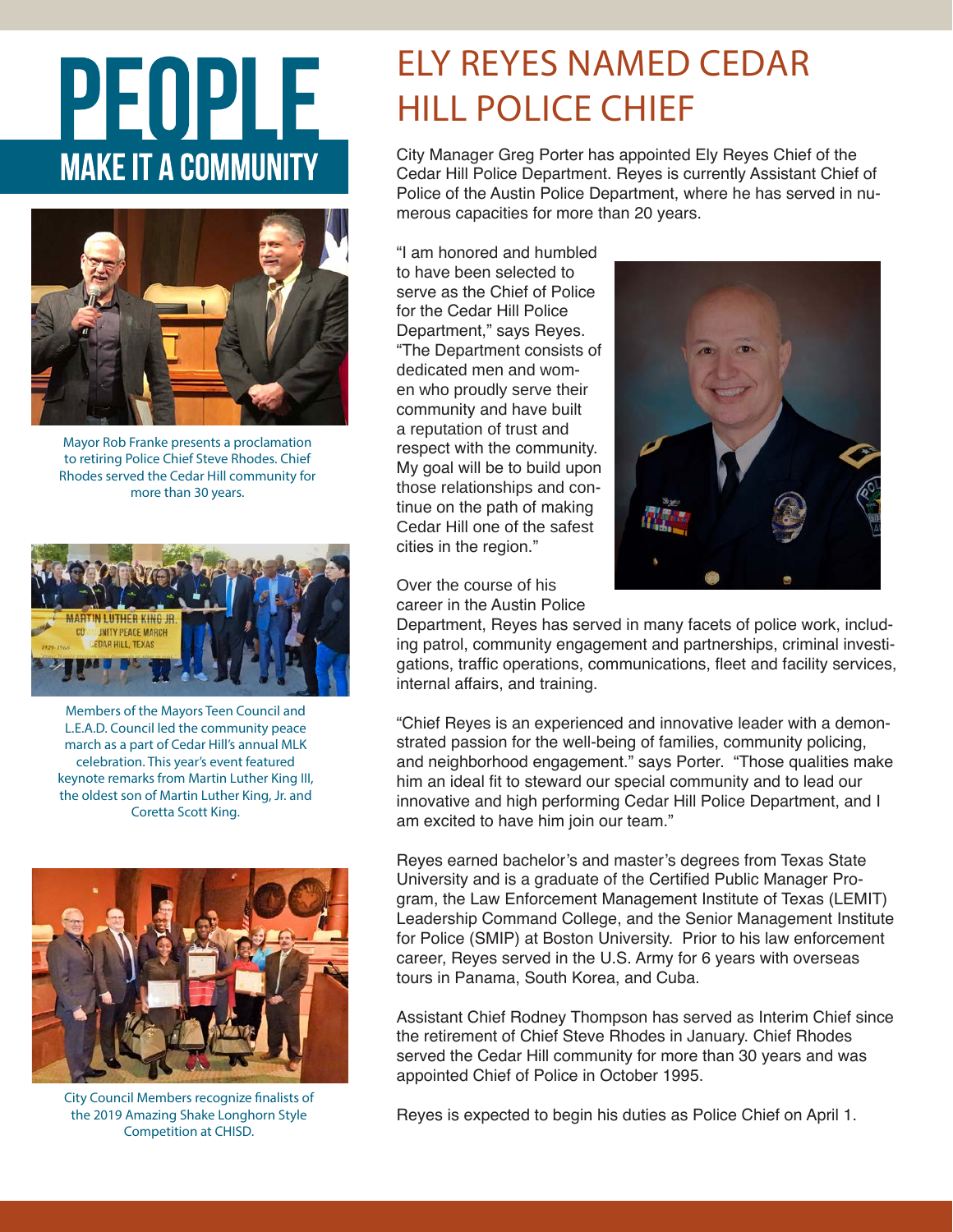# PEOPLE **MAKE IT A COMMUNITY**



Mayor Rob Franke presents a proclamation to retiring Police Chief Steve Rhodes. Chief Rhodes served the Cedar Hill community for more than 30 years.



Members of the Mayors Teen Council and L.E.A.D. Council led the community peace march as a part of Cedar Hill's annual MLK celebration. This year's event featured keynote remarks from Martin Luther King III, the oldest son of Martin Luther King, Jr. and Coretta Scott King.



City Council Members recognize finalists of the 2019 Amazing Shake Longhorn Style Competition at CHISD.

### ELY REYES NAMED CEDAR HILL POLICE CHIEF

City Manager Greg Porter has appointed Ely Reyes Chief of the Cedar Hill Police Department. Reyes is currently Assistant Chief of Police of the Austin Police Department, where he has served in numerous capacities for more than 20 years.

"I am honored and humbled to have been selected to serve as the Chief of Police for the Cedar Hill Police Department," says Reyes. "The Department consists of dedicated men and women who proudly serve their community and have built a reputation of trust and respect with the community. My goal will be to build upon those relationships and continue on the path of making Cedar Hill one of the safest cities in the region."



Over the course of his career in the Austin Police

Department, Reyes has served in many facets of police work, including patrol, community engagement and partnerships, criminal investigations, traffic operations, communications, fleet and facility services, internal affairs, and training.

"Chief Reyes is an experienced and innovative leader with a demonstrated passion for the well-being of families, community policing, and neighborhood engagement." says Porter. "Those qualities make him an ideal fit to steward our special community and to lead our innovative and high performing Cedar Hill Police Department, and I am excited to have him join our team."

Reyes earned bachelor's and master's degrees from Texas State University and is a graduate of the Certified Public Manager Program, the Law Enforcement Management Institute of Texas (LEMIT) Leadership Command College, and the Senior Management Institute for Police (SMIP) at Boston University. Prior to his law enforcement career, Reyes served in the U.S. Army for 6 years with overseas tours in Panama, South Korea, and Cuba.

Assistant Chief Rodney Thompson has served as Interim Chief since the retirement of Chief Steve Rhodes in January. Chief Rhodes served the Cedar Hill community for more than 30 years and was appointed Chief of Police in October 1995.

Reyes is expected to begin his duties as Police Chief on April 1.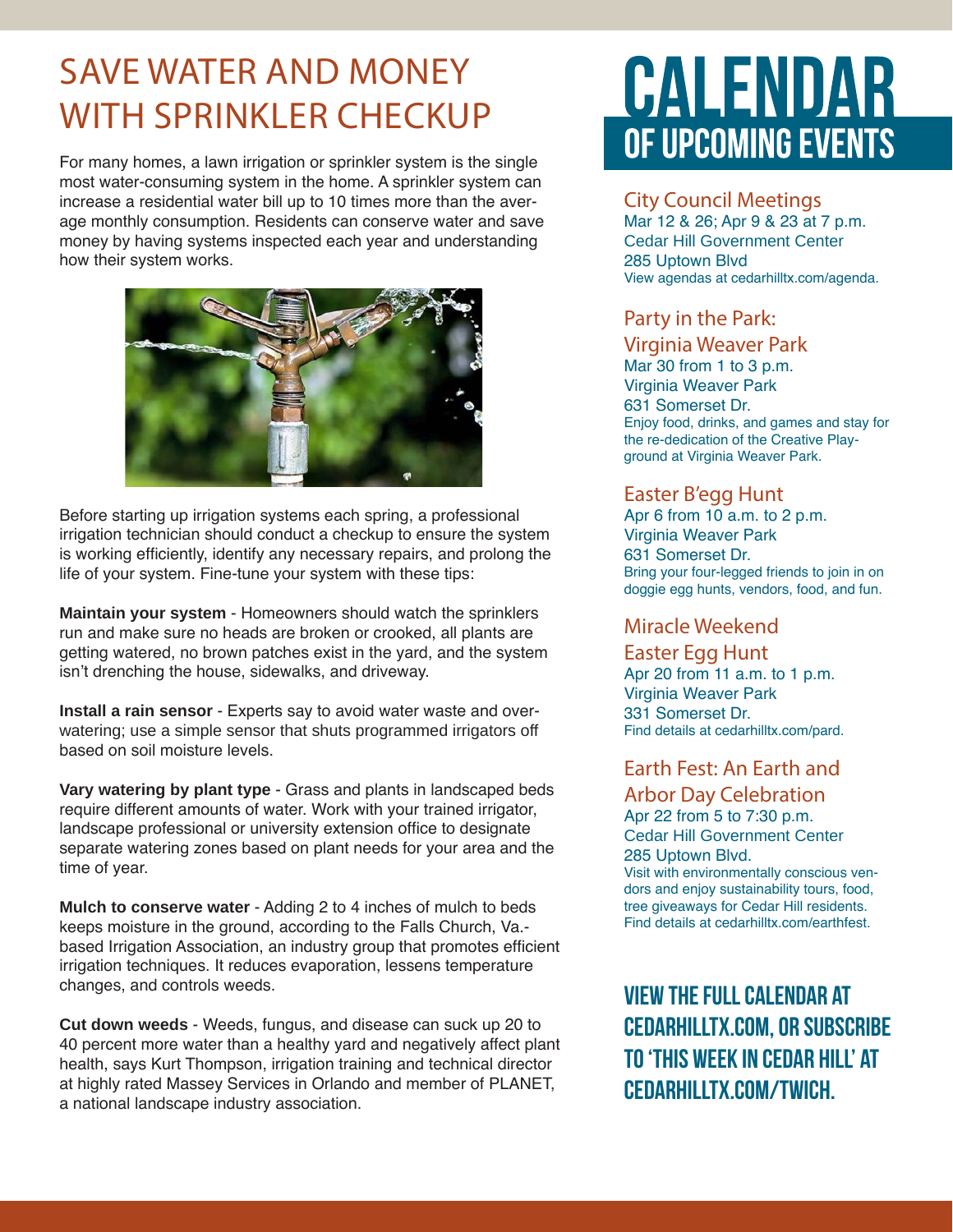### SAVE WATER AND MONEY WITH SPRINKLER CHECKUP

For many homes, a lawn irrigation or sprinkler system is the single most water-consuming system in the home. A sprinkler system can increase a residential water bill up to 10 times more than the average monthly consumption. Residents can conserve water and save money by having systems inspected each year and understanding how their system works.



Before starting up irrigation systems each spring, a professional irrigation technician should conduct a checkup to ensure the system is working efficiently, identify any necessary repairs, and prolong the life of your system. Fine-tune your system with these tips:

**Maintain your system** - Homeowners should watch the sprinklers run and make sure no heads are broken or crooked, all plants are getting watered, no brown patches exist in the yard, and the system isn't drenching the house, sidewalks, and driveway.

**Install a rain sensor** - Experts say to avoid water waste and overwatering; use a simple sensor that shuts programmed irrigators off based on soil moisture levels.

**Vary watering by plant type** - Grass and plants in landscaped beds require different amounts of water. Work with your trained irrigator, landscape professional or university extension office to designate separate watering zones based on plant needs for your area and the time of year.

**Mulch to conserve water** - Adding 2 to 4 inches of mulch to beds keeps moisture in the ground, according to the Falls Church, Va. based Irrigation Association, an industry group that promotes efficient irrigation techniques. It reduces evaporation, lessens temperature changes, and controls weeds.

**Cut down weeds** - Weeds, fungus, and disease can suck up 20 to 40 percent more water than a healthy yard and negatively affect plant health, says Kurt Thompson, irrigation training and technical director at highly rated Massey Services in Orlando and member of PLANET, a national landscape industry association.

## CALENDAR OF UPCOMING EVENTS

#### City Council Meetings

Mar 12 & 26; Apr 9 & 23 at 7 p.m. Cedar Hill Government Center 285 Uptown Blvd View agendas at cedarhilltx.com/agenda.

#### Party in the Park:

#### Virginia Weaver Park

Mar 30 from 1 to 3 p.m. Virginia Weaver Park 631 Somerset Dr. Enjoy food, drinks, and games and stay for the re-dedication of the Creative Playground at Virginia Weaver Park.

#### Easter B'egg Hunt

Apr 6 from 10 a.m. to 2 p.m. Virginia Weaver Park 631 Somerset Dr. Bring your four-legged friends to join in on doggie egg hunts, vendors, food, and fun.

#### Miracle Weekend

Easter Egg Hunt Apr 20 from 11 a.m. to 1 p.m. Virginia Weaver Park 331 Somerset Dr. Find details at cedarhilltx.com/pard.

#### Earth Fest: An Earth and

Arbor Day Celebration Apr 22 from 5 to 7:30 p.m. Cedar Hill Government Center 285 Uptown Blvd. Visit with environmentally conscious ven-

dors and enjoy sustainability tours, food, tree giveaways for Cedar Hill residents. Find details at cedarhilltx.com/earthfest.

**View the full calendar at cedarhilltx.com, or subscribe to 'This Week in Cedar Hill' at cedarhilltx.com/twich.**